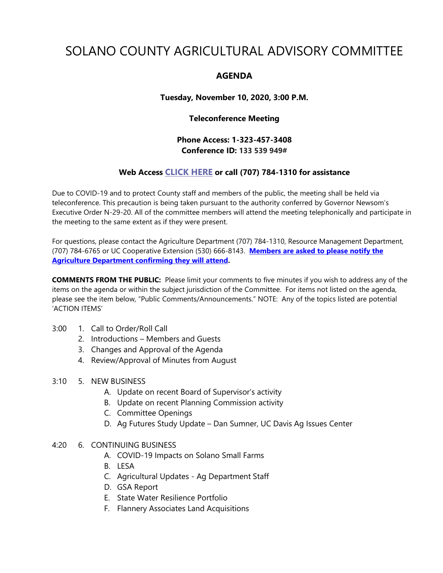# SOLANO COUNTY AGRICULTURAL ADVISORY COMMITTEE

## **AGENDA**

**Tuesday, November 10, 2020, 3:00 P.M.**

## **Teleconference Meeting**

**Phone Access: 1-323-457-3408 Conference ID: 133 539 949#**

## **Web Access [CLICK HERE](https://teams.microsoft.com/l/meetup-join/19%3ameeting_Y2MwZDA2NGMtZGZlZi00ZjQ5LWI1ZTItZGVhZjJhZTllMDBm%40thread.v2/0?context=%7b%22Tid%22%3a%225e7f20ac-e5f1-4f83-8c3b-ce44b8486421%22%2c%22Oid%22%3a%229b7e0b10-9feb-4114-92ef-db737a66fd13%22%7d) or call (707) 784-1310 for assistance**

Due to COVID-19 and to protect County staff and members of the public, the meeting shall be held via teleconference. This precaution is being taken pursuant to the authority conferred by Governor Newsom's Executive Order N-29-20. All of the committee members will attend the meeting telephonically and participate in the meeting to the same extent as if they were present.

For questions, please contact the Agriculture Department (707) 784-1310, Resource Management Department, (707) 784-6765 or UC Cooperative Extension (530) 666-8143. **Members are asked to please notify the Agriculture Department confirming they will attend.** 

**COMMENTS FROM THE PUBLIC:** Please limit your comments to five minutes if you wish to address any of the items on the agenda or within the subject jurisdiction of the Committee. For items not listed on the agenda, please see the item below, "Public Comments/Announcements." NOTE: Any of the topics listed are potential 'ACTION ITEMS'

### 3:00 1. Call to Order/Roll Call

- 2. Introductions Members and Guests
- 3. Changes and Approval of the Agenda
- 4. Review/Approval of Minutes from August
- 3:10 5. NEW BUSINESS
	- A. Update on recent Board of Supervisor's activity
	- B. Update on recent Planning Commission activity
	- C. Committee Openings
	- D. Ag Futures Study Update Dan Sumner, UC Davis Ag Issues Center
- 4:20 6. CONTINUING BUSINESS
	- A. COVID-19 Impacts on Solano Small Farms
	- B. LESA
	- C. Agricultural Updates Ag Department Staff
	- D. GSA Report
	- E. State Water Resilience Portfolio
	- F. Flannery Associates Land Acquisitions